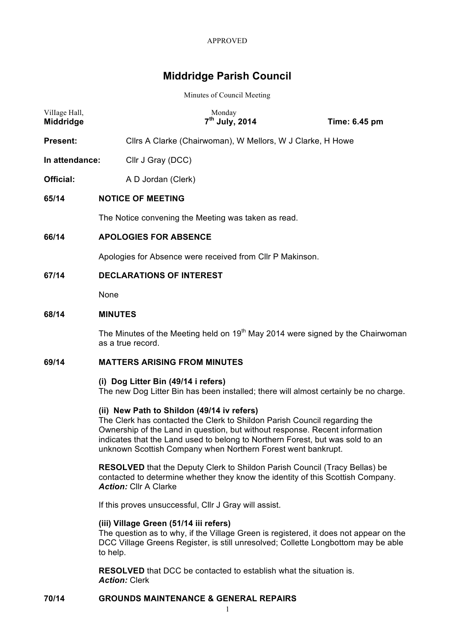# **Middridge Parish Council**

Minutes of Council Meeting

| Village Hall,<br><b>Middridge</b> |                                 | Monday<br>7 <sup>th</sup> July, 2014                       | Time: 6.45 pm |  |  |
|-----------------------------------|---------------------------------|------------------------------------------------------------|---------------|--|--|
| <b>Present:</b>                   |                                 | Cllrs A Clarke (Chairwoman), W Mellors, W J Clarke, H Howe |               |  |  |
| In attendance:                    | Cllr J Gray (DCC)               |                                                            |               |  |  |
| Official:                         | A D Jordan (Clerk)              |                                                            |               |  |  |
| 65/14                             |                                 | <b>NOTICE OF MEETING</b>                                   |               |  |  |
|                                   |                                 | The Notice convening the Meeting was taken as read.        |               |  |  |
| 66/14                             | <b>APOLOGIES FOR ABSENCE</b>    |                                                            |               |  |  |
|                                   |                                 | Apologies for Absence were received from CIIr P Makinson.  |               |  |  |
| 67/14                             | <b>DECLARATIONS OF INTEREST</b> |                                                            |               |  |  |
|                                   | None                            |                                                            |               |  |  |

### **68/14 MINUTES**

The Minutes of the Meeting held on  $19<sup>th</sup>$  May 2014 were signed by the Chairwoman as a true record.

# **69/14 MATTERS ARISING FROM MINUTES**

### **(i) Dog Litter Bin (49/14 i refers)**

The new Dog Litter Bin has been installed; there will almost certainly be no charge.

### **(ii) New Path to Shildon (49/14 iv refers)**

The Clerk has contacted the Clerk to Shildon Parish Council regarding the Ownership of the Land in question, but without response. Recent information indicates that the Land used to belong to Northern Forest, but was sold to an unknown Scottish Company when Northern Forest went bankrupt.

**RESOLVED** that the Deputy Clerk to Shildon Parish Council (Tracy Bellas) be contacted to determine whether they know the identity of this Scottish Company. *Action:* Cllr A Clarke

If this proves unsuccessful, Cllr J Gray will assist.

### **(iii) Village Green (51/14 iii refers)**

The question as to why, if the Village Green is registered, it does not appear on the DCC Village Greens Register, is still unresolved; Collette Longbottom may be able to help.

**RESOLVED** that DCC be contacted to establish what the situation is. *Action:* Clerk

### **70/14 GROUNDS MAINTENANCE & GENERAL REPAIRS**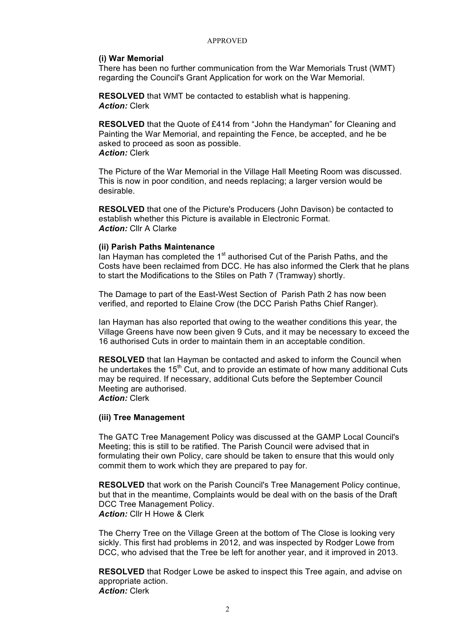### **(i) War Memorial**

There has been no further communication from the War Memorials Trust (WMT) regarding the Council's Grant Application for work on the War Memorial.

**RESOLVED** that WMT be contacted to establish what is happening. *Action:* Clerk

**RESOLVED** that the Quote of £414 from "John the Handyman" for Cleaning and Painting the War Memorial, and repainting the Fence, be accepted, and he be asked to proceed as soon as possible. *Action:* Clerk

The Picture of the War Memorial in the Village Hall Meeting Room was discussed. This is now in poor condition, and needs replacing; a larger version would be desirable.

**RESOLVED** that one of the Picture's Producers (John Davison) be contacted to establish whether this Picture is available in Electronic Format. *Action:* Cllr A Clarke

### **(ii) Parish Paths Maintenance**

 $\overline{a}$  Ian Hayman has completed the 1<sup>st</sup> authorised Cut of the Parish Paths, and the Costs have been reclaimed from DCC. He has also informed the Clerk that he plans to start the Modifications to the Stiles on Path 7 (Tramway) shortly.

The Damage to part of the East-West Section of Parish Path 2 has now been verified, and reported to Elaine Crow (the DCC Parish Paths Chief Ranger).

Ian Hayman has also reported that owing to the weather conditions this year, the Village Greens have now been given 9 Cuts, and it may be necessary to exceed the 16 authorised Cuts in order to maintain them in an acceptable condition.

**RESOLVED** that Ian Hayman be contacted and asked to inform the Council when he undertakes the 15<sup>th</sup> Cut, and to provide an estimate of how many additional Cuts may be required. If necessary, additional Cuts before the September Council Meeting are authorised.

*Action:* Clerk

### **(iii) Tree Management**

The GATC Tree Management Policy was discussed at the GAMP Local Council's Meeting; this is still to be ratified. The Parish Council were advised that in formulating their own Policy, care should be taken to ensure that this would only commit them to work which they are prepared to pay for.

**RESOLVED** that work on the Parish Council's Tree Management Policy continue, but that in the meantime, Complaints would be deal with on the basis of the Draft DCC Tree Management Policy. *Action:* Cllr H Howe & Clerk

The Cherry Tree on the Village Green at the bottom of The Close is looking very sickly. This first had problems in 2012, and was inspected by Rodger Lowe from DCC, who advised that the Tree be left for another year, and it improved in 2013.

**RESOLVED** that Rodger Lowe be asked to inspect this Tree again, and advise on appropriate action. *Action:* Clerk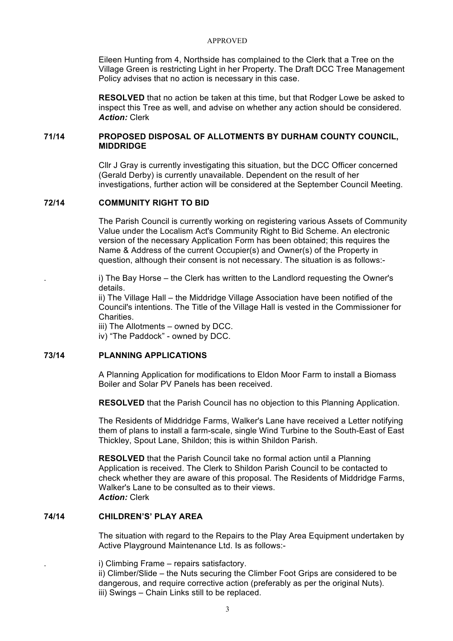Eileen Hunting from 4, Northside has complained to the Clerk that a Tree on the Village Green is restricting Light in her Property. The Draft DCC Tree Management Policy advises that no action is necessary in this case.

**RESOLVED** that no action be taken at this time, but that Rodger Lowe be asked to inspect this Tree as well, and advise on whether any action should be considered. *Action:* Clerk

# **71/14 PROPOSED DISPOSAL OF ALLOTMENTS BY DURHAM COUNTY COUNCIL, MIDDRIDGE**

Cllr J Gray is currently investigating this situation, but the DCC Officer concerned (Gerald Derby) is currently unavailable. Dependent on the result of her investigations, further action will be considered at the September Council Meeting.

# **72/14 COMMUNITY RIGHT TO BID**

The Parish Council is currently working on registering various Assets of Community Value under the Localism Act's Community Right to Bid Scheme. An electronic version of the necessary Application Form has been obtained; this requires the Name & Address of the current Occupier(s) and Owner(s) of the Property in question, although their consent is not necessary. The situation is as follows:-

i) The Bay Horse – the Clerk has written to the Landlord requesting the Owner's details.

ii) The Village Hall – the Middridge Village Association have been notified of the Council's intentions. The Title of the Village Hall is vested in the Commissioner for **Charities** 

iii) The Allotments – owned by DCC.

iv) "The Paddock" - owned by DCC.

# **73/14 PLANNING APPLICATIONS**

A Planning Application for modifications to Eldon Moor Farm to install a Biomass Boiler and Solar PV Panels has been received.

**RESOLVED** that the Parish Council has no objection to this Planning Application.

The Residents of Middridge Farms, Walker's Lane have received a Letter notifying them of plans to install a farm-scale, single Wind Turbine to the South-East of East Thickley, Spout Lane, Shildon; this is within Shildon Parish.

**RESOLVED** that the Parish Council take no formal action until a Planning Application is received. The Clerk to Shildon Parish Council to be contacted to check whether they are aware of this proposal. The Residents of Middridge Farms, Walker's Lane to be consulted as to their views. *Action:* Clerk

# **74/14 CHILDREN'S' PLAY AREA**

The situation with regard to the Repairs to the Play Area Equipment undertaken by Active Playground Maintenance Ltd. Is as follows:-

. i) Climbing Frame – repairs satisfactory.

ii) Climber/Slide – the Nuts securing the Climber Foot Grips are considered to be dangerous, and require corrective action (preferably as per the original Nuts). iii) Swings – Chain Links still to be replaced.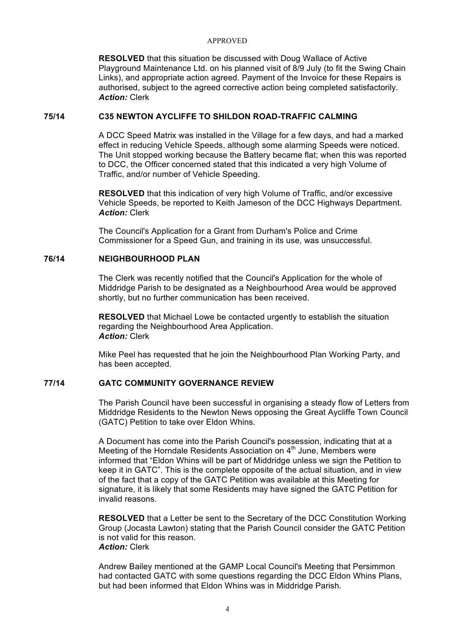**RESOLVED** that this situation be discussed with Doug Wallace of Active Playground Maintenance Ltd. on his planned visit of 8/9 July (to fit the Swing Chain Links), and appropriate action agreed. Payment of the Invoice for these Repairs is authorised, subject to the agreed corrective action being completed satisfactorily. *Action:* Clerk

# **75/14 C35 NEWTON AYCLIFFE TO SHILDON ROAD-TRAFFIC CALMING**

A DCC Speed Matrix was installed in the Village for a few days, and had a marked effect in reducing Vehicle Speeds, although some alarming Speeds were noticed. The Unit stopped working because the Battery became flat; when this was reported to DCC, the Officer concerned stated that this indicated a very high Volume of Traffic, and/or number of Vehicle Speeding.

**RESOLVED** that this indication of very high Volume of Traffic, and/or excessive Vehicle Speeds, be reported to Keith Jameson of the DCC Highways Department. *Action:* Clerk

The Council's Application for a Grant from Durham's Police and Crime Commissioner for a Speed Gun, and training in its use, was unsuccessful.

### **76/14 NEIGHBOURHOOD PLAN**

The Clerk was recently notified that the Council's Application for the whole of Middridge Parish to be designated as a Neighbourhood Area would be approved shortly, but no further communication has been received.

**RESOLVED** that Michael Lowe be contacted urgently to establish the situation regarding the Neighbourhood Area Application. *Action:* Clerk

Mike Peel has requested that he join the Neighbourhood Plan Working Party, and has been accepted.

### **77/14 GATC COMMUNITY GOVERNANCE REVIEW**

The Parish Council have been successful in organising a steady flow of Letters from Middridge Residents to the Newton News opposing the Great Aycliffe Town Council (GATC) Petition to take over Eldon Whins.

A Document has come into the Parish Council's possession, indicating that at a Meeting of the Horndale Residents Association on  $4<sup>th</sup>$  June, Members were informed that "Eldon Whins will be part of Middridge unless we sign the Petition to keep it in GATC". This is the complete opposite of the actual situation, and in view of the fact that a copy of the GATC Petition was available at this Meeting for signature, it is likely that some Residents may have signed the GATC Petition for invalid reasons.

**RESOLVED** that a Letter be sent to the Secretary of the DCC Constitution Working Group (Jocasta Lawton) stating that the Parish Council consider the GATC Petition is not valid for this reason. *Action:* Clerk

Andrew Bailey mentioned at the GAMP Local Council's Meeting that Persimmon had contacted GATC with some questions regarding the DCC Eldon Whins Plans, but had been informed that Eldon Whins was in Middridge Parish.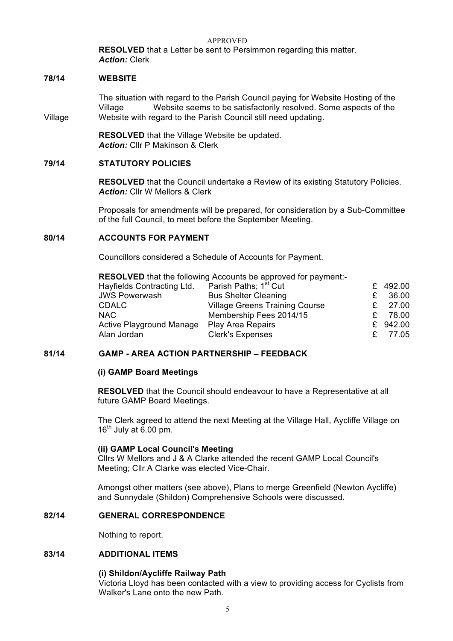APPROVED **RESOLVED** that a Letter be sent to Persimmon regarding this matter. *Action:* Clerk

### **78/14 WEBSITE**

The situation with regard to the Parish Council paying for Website Hosting of the Village Website seems to be satisfactorily resolved. Some aspects of the Village Website with regard to the Parish Council still need updating.

> **RESOLVED** that the Village Website be updated. *Action:* Cllr P Makinson & Clerk

# **79/14 STATUTORY POLICIES**

**RESOLVED** that the Council undertake a Review of its existing Statutory Policies. *Action:* Cllr W Mellors & Clerk

Proposals for amendments will be prepared, for consideration by a Sub-Committee of the full Council, to meet before the September Meeting.

# **80/14 ACCOUNTS FOR PAYMENT**

Councillors considered a Schedule of Accounts for Payment.

| <b>RESOLVED</b> that the following Accounts be approved for payment:- |                                       |    |          |  |  |
|-----------------------------------------------------------------------|---------------------------------------|----|----------|--|--|
| Hayfields Contracting Ltd.                                            | Parish Paths; 1 <sup>st</sup> Cut     |    | £ 492.00 |  |  |
| <b>JWS Powerwash</b>                                                  | <b>Bus Shelter Cleaning</b>           | £  | 36.00    |  |  |
| <b>CDALC</b>                                                          | <b>Village Greens Training Course</b> |    | 27.00    |  |  |
| <b>NAC</b>                                                            | Membership Fees 2014/15               |    | 78.00    |  |  |
| <b>Active Playground Manage</b>                                       | <b>Play Area Repairs</b>              |    | £ 942.00 |  |  |
| Alan Jordan                                                           | <b>Clerk's Expenses</b>               | £. | 77.05    |  |  |

### **81/14 GAMP - AREA ACTION PARTNERSHIP – FEEDBACK**

### **(i) GAMP Board Meetings**

**RESOLVED** that the Council should endeavour to have a Representative at all future GAMP Board Meetings.

The Clerk agreed to attend the next Meeting at the Village Hall, Aycliffe Village on  $16<sup>th</sup>$  July at 6.00 pm.

### **(ii) GAMP Local Council's Meeting**

Cllrs W Mellors and J & A Clarke attended the recent GAMP Local Council's Meeting; Cllr A Clarke was elected Vice-Chair.

Amongst other matters (see above), Plans to merge Greenfield (Newton Aycliffe) and Sunnydale (Shildon) Comprehensive Schools were discussed.

### **82/14 GENERAL CORRESPONDENCE**

Nothing to report.

# **83/14 ADDITIONAL ITEMS**

### **(i) Shildon/Aycliffe Railway Path**

Victoria Lloyd has been contacted with a view to providing access for Cyclists from Walker's Lane onto the new Path.